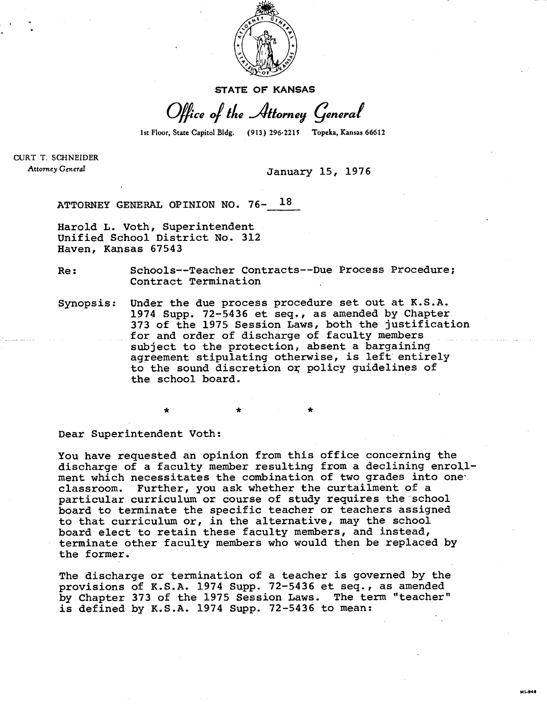

**STATE OF KANSAS** 

Office of the Attorney General

1st Floor, State Capitol Bldg. (913) 296-2215 Topeka, Kansas 66612

CURT T. SCHNEIDER Attorney General

**January 15, 1976** 

**ATTORNEY GENERAL OPINION NO. 76- 18** 

**Harold L. Voth, Superintendent Unified School District No. 312 Haven, Kansas 67543** 

**Re: Schools--Teacher Contracts--Due Process Procedure; Contract Termination** 

**Synopsis: Under the due process procedure set out at K.S.A. 1974 Supp. 72-5436 et seq., as amended by Chapter 373 of the 1975 Session Laws, both the justification for and order of discharge of faculty members subject to the protection, absent a bargaining agreement stipulating otherwise, is left entirely to the sound discretion or policy guidelines of the school board.** 

**Dear Superintendent Voth:** 

\*

**You have requested an opinion from this office concerning the discharge of a faculty member resulting from a declining enrollment which necessitates the combination of two grades into one classroom. Further, you ask whether the curtailment of a particular curriculum or course of study requires the school board to terminate the specific teacher or teachers assigned to that curriculum or, in the alternative, may the school board elect to retain these faculty members, and instead, terminate other faculty members who would then be replaced by the former.** 

**The discharge or termination of a teacher is governed by the provisions of K.S.A. 1974 Supp. 72-5436 et seq., as amended by Chapter 373 of the 1975 Session Laws. The term "teacher" is defined by K.S.A. 1974 Supp. 72-5436 to mean:**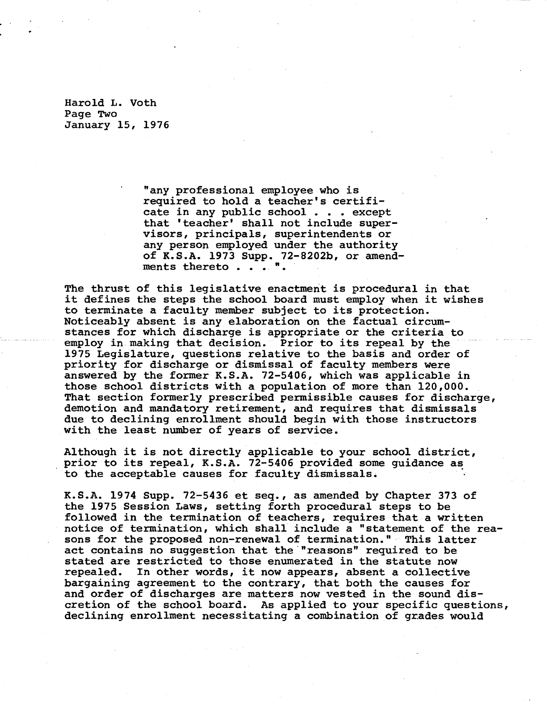Harold L. Voth Page Two January 15, 1976

> **"any professional employee who is required to hold a teacher's certificate in any public school . . . except that 'teacher' shall not include supervisors, principals, superintendents or any person employed under the authority of K.S.A. 1973 Supp. 72-8202b, or amendments thereto . . . ".**

**The thrust of this legislative enactment is procedural in that it defines the steps the school board must employ when it wishes to terminate a faculty member subject to its protection. Noticeably absent is any elaboration on the factual circumstances for which discharge is appropriate or the criteria to employ in making that decision. Prior to its repeal by the 1975 Legislature, questions relative to the basis and order of priority for discharge or dismissal of faculty members were answered by the former K.S.A. 72-5406, which was applicable in those school districts with a population of more than 120,000. That section formerly prescribed permissible causes for discharge, demotion and mandatory retirement, and requires that dismissals due to declining enrollment should begin with those instructors with the least number of years of service.** 

**Although it is not directly applicable to your school district, prior to its repeal, K.S.A. 72-5406 provided some guidance as to the acceptable causes for faculty dismissals.** 

**K.S.A. 1974 Supp. 72-5436 et seq., as amended by Chapter 373 of the 1975 Session Laws, setting forth procedural steps to be followed in the termination of teachers, requires that a written notice of termination, which shall include a "statement of the reasons for the proposed non-renewal of termination." This latter act contains no suggestion that the "reasons" required to be stated are restricted to those enumerated in the statute now repealed. In other words, it now appears, absent a collective bargaining agreement to the contrary, that both the causes for and order of discharges are matters now vested in the sound discretion of the school board. As applied to your specific questions, declining enrollment necessitating a combination of grades would**